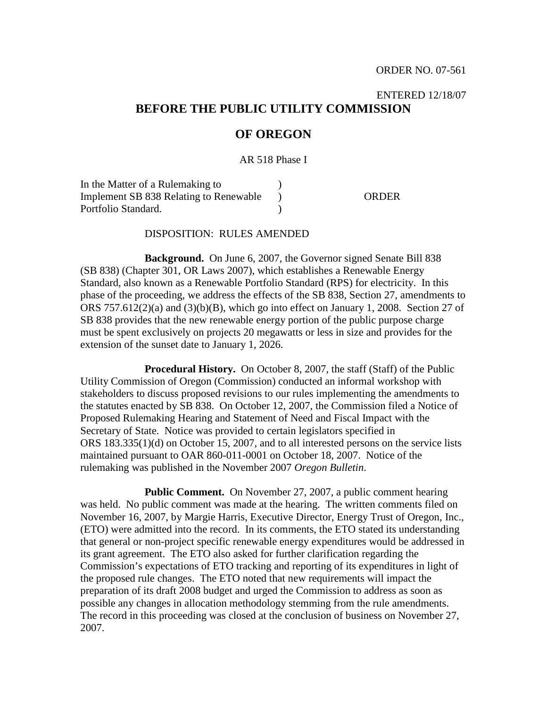# ENTERED 12/18/07 **BEFORE THE PUBLIC UTILITY COMMISSION**

# **OF OREGON**

AR 518 Phase I

In the Matter of a Rulemaking to Implement SB 838 Relating to Renewable Portfolio Standard. ) )  $\lambda$ ORDER

#### DISPOSITION: RULES AMENDED

**Background.** On June 6, 2007, the Governor signed Senate Bill 838 (SB 838) (Chapter 301, OR Laws 2007), which establishes a Renewable Energy Standard, also known as a Renewable Portfolio Standard (RPS) for electricity. In this phase of the proceeding, we address the effects of the SB 838, Section 27, amendments to ORS  $757.612(2)(a)$  and  $(3)(b)(B)$ , which go into effect on January 1, 2008. Section 27 of SB 838 provides that the new renewable energy portion of the public purpose charge must be spent exclusively on projects 20 megawatts or less in size and provides for the extension of the sunset date to January 1, 2026.

**Procedural History.** On October 8, 2007, the staff (Staff) of the Public Utility Commission of Oregon (Commission) conducted an informal workshop with stakeholders to discuss proposed revisions to our rules implementing the amendments to the statutes enacted by SB 838. On October 12, 2007, the Commission filed a Notice of Proposed Rulemaking Hearing and Statement of Need and Fiscal Impact with the Secretary of State. Notice was provided to certain legislators specified in ORS 183.335(1)(d) on October 15, 2007, and to all interested persons on the service lists maintained pursuant to OAR 860-011-0001 on October 18, 2007. Notice of the rulemaking was published in the November 2007 *Oregon Bulletin*.

**Public Comment.** On November 27, 2007, a public comment hearing was held. No public comment was made at the hearing. The written comments filed on November 16, 2007, by Margie Harris, Executive Director, Energy Trust of Oregon, Inc., (ETO) were admitted into the record. In its comments, the ETO stated its understanding that general or non-project specific renewable energy expenditures would be addressed in its grant agreement. The ETO also asked for further clarification regarding the Commission's expectations of ETO tracking and reporting of its expenditures in light of the proposed rule changes. The ETO noted that new requirements will impact the preparation of its draft 2008 budget and urged the Commission to address as soon as possible any changes in allocation methodology stemming from the rule amendments. The record in this proceeding was closed at the conclusion of business on November 27, 2007.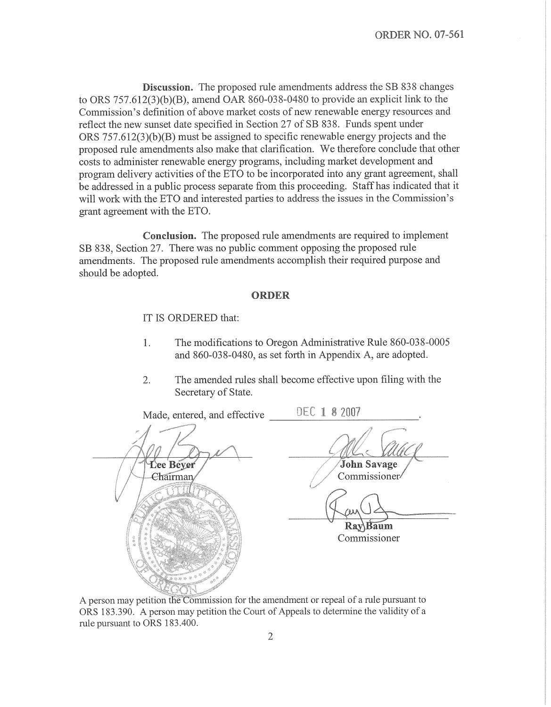Discussion. The proposed rule amendments address the SB 838 changes to ORS  $757.612(3)(b)(B)$ , amend OAR 860-038-0480 to provide an explicit link to the Commission's definition of above market costs of new renewable energy resources and reflect the new sunset date specified in Section 27 of SB 838. Funds spent under ORS  $757.612(3)(b)(B)$  must be assigned to specific renewable energy projects and the proposed rule amendments also make that clarification. We therefore conclude that other costs to administer renewable energy programs, including market development and program delivery activities of the ETO to be incorporated into any grant agreement, shall be addressed in a public process separate from this proceeding. Staff has indicated that it will work with the ETO and interested parties to address the issues in the Commission's grant agreement with the ETO.

**Conclusion.** The proposed rule amendments are required to implement SB 838, Section 27. There was no public comment opposing the proposed rule amendments. The proposed rule amendments accomplish their required purpose and should be adopted.

### ORDER

IT IS ORDERED that:

- The modifications to Oregon Administrative Rule 860-038-0005  $1<sub>1</sub>$ and 860-038-0480, as set forth in Appendix A, are adopted.
- $\overline{2}$ . The amended rules shall become effective upon filing with the Secretary of State.

DEC 1 8 2007 Made, entered, and effective John Savage Lee Bever Commissioner/ Chairman Ray Baum Commissioner

A person may petition the Commission for the amendment or repeal of a rule pursuant to ORS 183.390. A person may petition the Court of Appeals to determine the validity of a rule pursuant to ORS 183.400.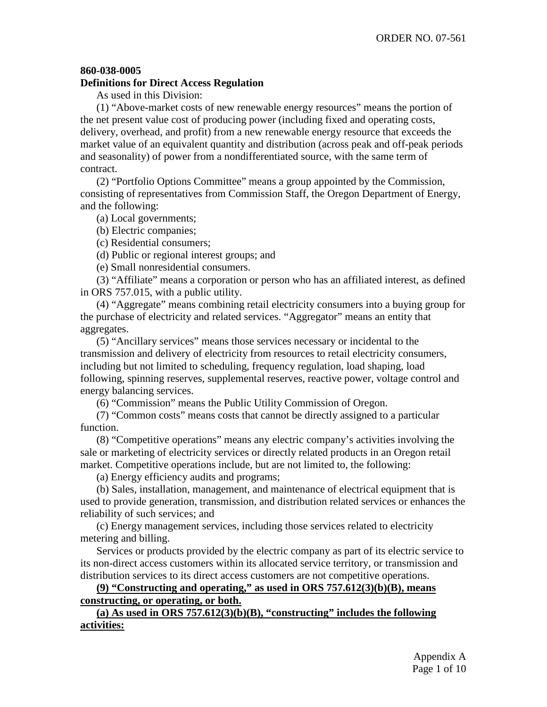# **860-038-0005**

### **Definitions for Direct Access Regulation**

As used in this Division:

(1) "Above-market costs of new renewable energy resources" means the portion of the net present value cost of producing power (including fixed and operating costs, delivery, overhead, and profit) from a new renewable energy resource that exceeds the market value of an equivalent quantity and distribution (across peak and off-peak periods and seasonality) of power from a nondifferentiated source, with the same term of contract.

(2) "Portfolio Options Committee" means a group appointed by the Commission, consisting of representatives from Commission Staff, the Oregon Department of Energy, and the following:

(a) Local governments;

(b) Electric companies;

(c) Residential consumers;

(d) Public or regional interest groups; and

(e) Small nonresidential consumers.

(3) "Affiliate" means a corporation or person who has an affiliated interest, as defined in ORS 757.015, with a public utility.

(4) "Aggregate" means combining retail electricity consumers into a buying group for the purchase of electricity and related services. "Aggregator" means an entity that aggregates.

(5) "Ancillary services" means those services necessary or incidental to the transmission and delivery of electricity from resources to retail electricity consumers, including but not limited to scheduling, frequency regulation, load shaping, load following, spinning reserves, supplemental reserves, reactive power, voltage control and energy balancing services.

(6) "Commission" means the Public Utility Commission of Oregon.

(7) "Common costs" means costs that cannot be directly assigned to a particular function.

(8) "Competitive operations" means any electric company's activities involving the sale or marketing of electricity services or directly related products in an Oregon retail market. Competitive operations include, but are not limited to, the following:

(a) Energy efficiency audits and programs;

(b) Sales, installation, management, and maintenance of electrical equipment that is used to provide generation, transmission, and distribution related services or enhances the reliability of such services; and

(c) Energy management services, including those services related to electricity metering and billing.

Services or products provided by the electric company as part of its electric service to its non-direct access customers within its allocated service territory, or transmission and distribution services to its direct access customers are not competitive operations.

# **(9) "Constructing and operating," as used in ORS 757.612(3)(b)(B), means constructing, or operating, or both.**

**(a) As used in ORS 757.612(3)(b)(B), "constructing" includes the following activities:**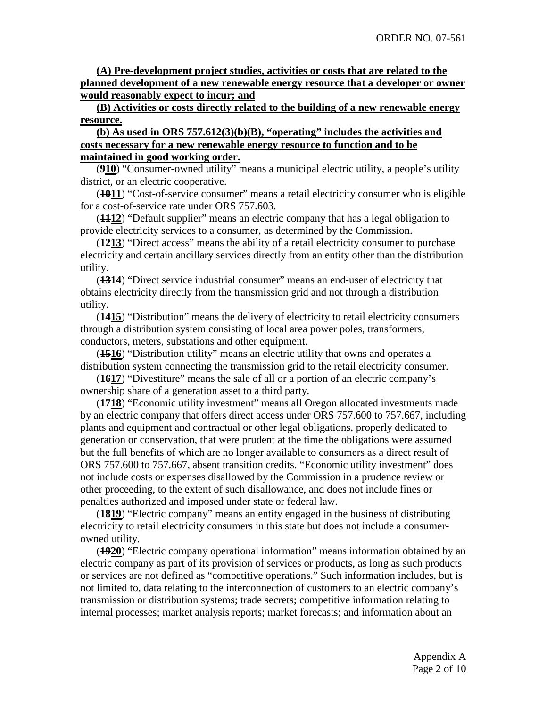**(A) Pre-development project studies, activities or costs that are related to the planned development of a new renewable energy resource that a developer or owner would reasonably expect to incur; and**

**(B) Activities or costs directly related to the building of a new renewable energy resource.**

# **(b) As used in ORS 757.612(3)(b)(B), "operating" includes the activities and costs necessary for a new renewable energy resource to function and to be maintained in good working order.**

(**910**) "Consumer-owned utility" means a municipal electric utility, a people's utility district, or an electric cooperative.

(**1011**) "Cost-of-service consumer" means a retail electricity consumer who is eligible for a cost-of-service rate under ORS 757.603.

(**1112**) "Default supplier" means an electric company that has a legal obligation to provide electricity services to a consumer, as determined by the Commission.

(**1213**) "Direct access" means the ability of a retail electricity consumer to purchase electricity and certain ancillary services directly from an entity other than the distribution utility.

(**1314**) "Direct service industrial consumer" means an end-user of electricity that obtains electricity directly from the transmission grid and not through a distribution utility.

(**1415**) "Distribution" means the delivery of electricity to retail electricity consumers through a distribution system consisting of local area power poles, transformers, conductors, meters, substations and other equipment.

(**1516**) "Distribution utility" means an electric utility that owns and operates a distribution system connecting the transmission grid to the retail electricity consumer.

(**1617**) "Divestiture" means the sale of all or a portion of an electric company's ownership share of a generation asset to a third party.

(**1718**) "Economic utility investment" means all Oregon allocated investments made by an electric company that offers direct access under ORS 757.600 to 757.667, including plants and equipment and contractual or other legal obligations, properly dedicated to generation or conservation, that were prudent at the time the obligations were assumed but the full benefits of which are no longer available to consumers as a direct result of ORS 757.600 to 757.667, absent transition credits. "Economic utility investment" does not include costs or expenses disallowed by the Commission in a prudence review or other proceeding, to the extent of such disallowance, and does not include fines or penalties authorized and imposed under state or federal law.

(**1819**) "Electric company" means an entity engaged in the business of distributing electricity to retail electricity consumers in this state but does not include a consumerowned utility.

(**1920**) "Electric company operational information" means information obtained by an electric company as part of its provision of services or products, as long as such products or services are not defined as "competitive operations." Such information includes, but is not limited to, data relating to the interconnection of customers to an electric company's transmission or distribution systems; trade secrets; competitive information relating to internal processes; market analysis reports; market forecasts; and information about an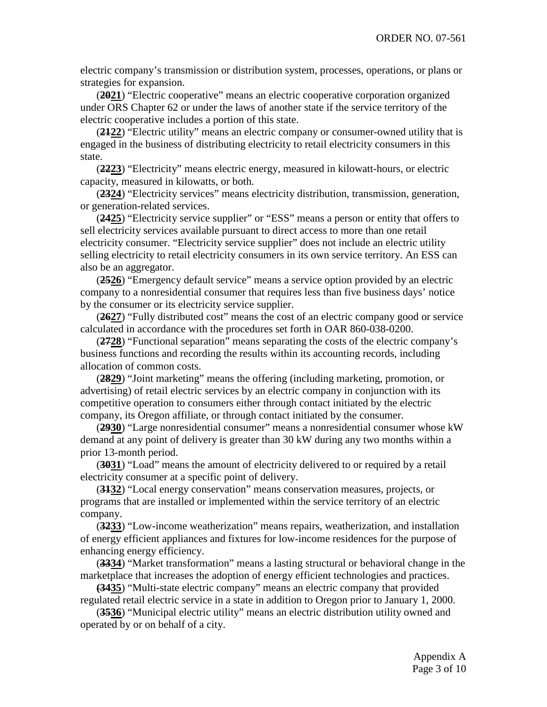electric company's transmission or distribution system, processes, operations, or plans or strategies for expansion.

(**2021**) "Electric cooperative" means an electric cooperative corporation organized under ORS Chapter 62 or under the laws of another state if the service territory of the electric cooperative includes a portion of this state.

(**2122**) "Electric utility" means an electric company or consumer-owned utility that is engaged in the business of distributing electricity to retail electricity consumers in this state.

(**2223**) "Electricity" means electric energy, measured in kilowatt-hours, or electric capacity, measured in kilowatts, or both.

(**2324**) "Electricity services" means electricity distribution, transmission, generation, or generation-related services.

(**2425**) "Electricity service supplier" or "ESS" means a person or entity that offers to sell electricity services available pursuant to direct access to more than one retail electricity consumer. "Electricity service supplier" does not include an electric utility selling electricity to retail electricity consumers in its own service territory. An ESS can also be an aggregator.

(**2526**) "Emergency default service" means a service option provided by an electric company to a nonresidential consumer that requires less than five business days' notice by the consumer or its electricity service supplier.

(**2627**) "Fully distributed cost" means the cost of an electric company good or service calculated in accordance with the procedures set forth in OAR 860-038-0200.

(**2728**) "Functional separation" means separating the costs of the electric company's business functions and recording the results within its accounting records, including allocation of common costs.

(**2829**) "Joint marketing" means the offering (including marketing, promotion, or advertising) of retail electric services by an electric company in conjunction with its competitive operation to consumers either through contact initiated by the electric company, its Oregon affiliate, or through contact initiated by the consumer.

(**2930**) "Large nonresidential consumer" means a nonresidential consumer whose kW demand at any point of delivery is greater than 30 kW during any two months within a prior 13-month period.

(**3031**) "Load" means the amount of electricity delivered to or required by a retail electricity consumer at a specific point of delivery.

(**3132**) "Local energy conservation" means conservation measures, projects, or programs that are installed or implemented within the service territory of an electric company.

(**3233**) "Low-income weatherization" means repairs, weatherization, and installation of energy efficient appliances and fixtures for low-income residences for the purpose of enhancing energy efficiency.

(**3334**) "Market transformation" means a lasting structural or behavioral change in the marketplace that increases the adoption of energy efficient technologies and practices.

**(3435**) "Multi-state electric company" means an electric company that provided regulated retail electric service in a state in addition to Oregon prior to January 1, 2000.

(**3536**) "Municipal electric utility" means an electric distribution utility owned and operated by or on behalf of a city.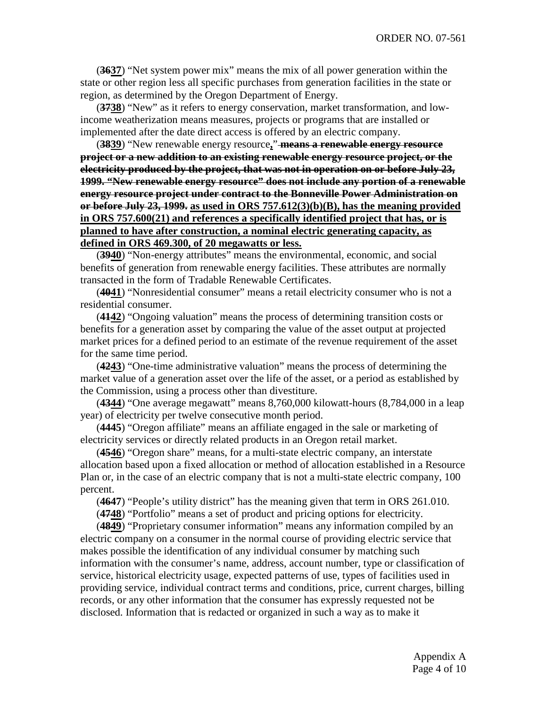(**3637**) "Net system power mix" means the mix of all power generation within the state or other region less all specific purchases from generation facilities in the state or region, as determined by the Oregon Department of Energy.

(**3738**) "New" as it refers to energy conservation, market transformation, and lowincome weatherization means measures, projects or programs that are installed or implemented after the date direct access is offered by an electric company.

(**3839**) "New renewable energy resource**,**" **means a renewable energy resource project or a new addition to an existing renewable energy resource project, or the electricity produced by the project, that was not in operation on or before July 23, 1999. "New renewable energy resource" does not include any portion of a renewable energy resource project under contract to the Bonneville Power Administration on or before July 23, 1999. as used in ORS 757.612(3)(b)(B), has the meaning provided in ORS 757.600(21) and references a specifically identified project that has, or is planned to have after construction, a nominal electric generating capacity, as defined in ORS 469.300, of 20 megawatts or less.**

(**3940**) "Non-energy attributes" means the environmental, economic, and social benefits of generation from renewable energy facilities. These attributes are normally transacted in the form of Tradable Renewable Certificates.

(**4041**) "Nonresidential consumer" means a retail electricity consumer who is not a residential consumer.

(**4142**) "Ongoing valuation" means the process of determining transition costs or benefits for a generation asset by comparing the value of the asset output at projected market prices for a defined period to an estimate of the revenue requirement of the asset for the same time period.

(**4243**) "One-time administrative valuation" means the process of determining the market value of a generation asset over the life of the asset, or a period as established by the Commission, using a process other than divestiture.

(**4344**) "One average megawatt" means 8,760,000 kilowatt-hours (8,784,000 in a leap year) of electricity per twelve consecutive month period.

(**4445**) "Oregon affiliate" means an affiliate engaged in the sale or marketing of electricity services or directly related products in an Oregon retail market.

(**4546**) "Oregon share" means, for a multi-state electric company, an interstate allocation based upon a fixed allocation or method of allocation established in a Resource Plan or, in the case of an electric company that is not a multi-state electric company, 100 percent.

(**4647**) "People's utility district" has the meaning given that term in ORS 261.010.

(**4748**) "Portfolio" means a set of product and pricing options for electricity.

(**4849**) "Proprietary consumer information" means any information compiled by an electric company on a consumer in the normal course of providing electric service that makes possible the identification of any individual consumer by matching such information with the consumer's name, address, account number, type or classification of service, historical electricity usage, expected patterns of use, types of facilities used in providing service, individual contract terms and conditions, price, current charges, billing records, or any other information that the consumer has expressly requested not be disclosed. Information that is redacted or organized in such a way as to make it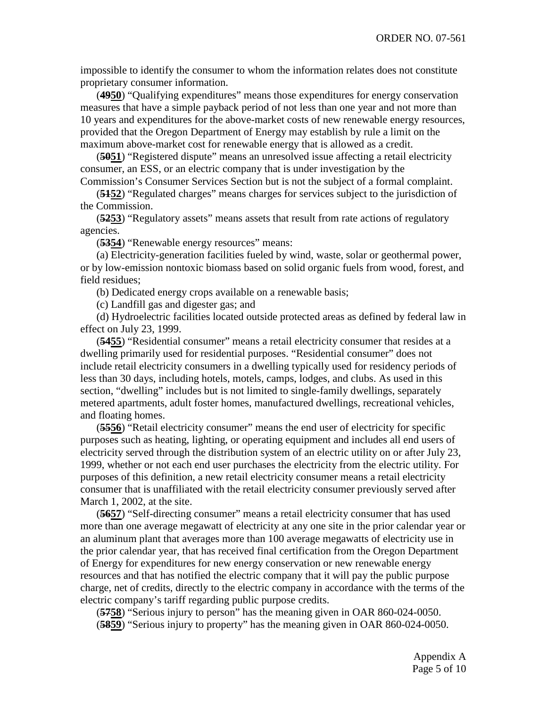impossible to identify the consumer to whom the information relates does not constitute proprietary consumer information.

(**4950**) "Qualifying expenditures" means those expenditures for energy conservation measures that have a simple payback period of not less than one year and not more than 10 years and expenditures for the above-market costs of new renewable energy resources, provided that the Oregon Department of Energy may establish by rule a limit on the maximum above-market cost for renewable energy that is allowed as a credit.

(**5051**) "Registered dispute" means an unresolved issue affecting a retail electricity consumer, an ESS, or an electric company that is under investigation by the Commission's Consumer Services Section but is not the subject of a formal complaint.

(**5152**) "Regulated charges" means charges for services subject to the jurisdiction of the Commission.

(**5253**) "Regulatory assets" means assets that result from rate actions of regulatory agencies.

(**5354**) "Renewable energy resources" means:

(a) Electricity-generation facilities fueled by wind, waste, solar or geothermal power, or by low-emission nontoxic biomass based on solid organic fuels from wood, forest, and field residues;

(b) Dedicated energy crops available on a renewable basis;

(c) Landfill gas and digester gas; and

(d) Hydroelectric facilities located outside protected areas as defined by federal law in effect on July 23, 1999.

(**5455**) "Residential consumer" means a retail electricity consumer that resides at a dwelling primarily used for residential purposes. "Residential consumer" does not include retail electricity consumers in a dwelling typically used for residency periods of less than 30 days, including hotels, motels, camps, lodges, and clubs. As used in this section, "dwelling" includes but is not limited to single-family dwellings, separately metered apartments, adult foster homes, manufactured dwellings, recreational vehicles, and floating homes.

(**5556**) "Retail electricity consumer" means the end user of electricity for specific purposes such as heating, lighting, or operating equipment and includes all end users of electricity served through the distribution system of an electric utility on or after July 23, 1999, whether or not each end user purchases the electricity from the electric utility. For purposes of this definition, a new retail electricity consumer means a retail electricity consumer that is unaffiliated with the retail electricity consumer previously served after March 1, 2002, at the site.

(**5657**) "Self-directing consumer" means a retail electricity consumer that has used more than one average megawatt of electricity at any one site in the prior calendar year or an aluminum plant that averages more than 100 average megawatts of electricity use in the prior calendar year, that has received final certification from the Oregon Department of Energy for expenditures for new energy conservation or new renewable energy resources and that has notified the electric company that it will pay the public purpose charge, net of credits, directly to the electric company in accordance with the terms of the electric company's tariff regarding public purpose credits.

(**5758**) "Serious injury to person" has the meaning given in OAR 860-024-0050. (**5859**) "Serious injury to property" has the meaning given in OAR 860-024-0050.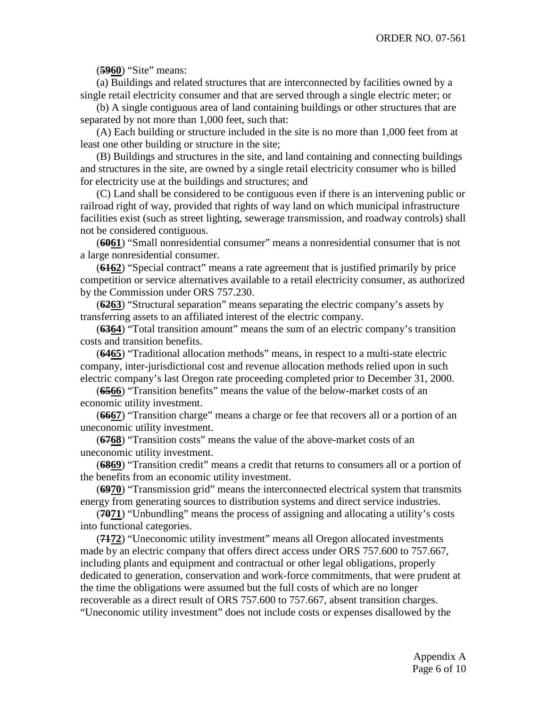(**5960**) "Site" means:

(a) Buildings and related structures that are interconnected by facilities owned by a single retail electricity consumer and that are served through a single electric meter; or

(b) A single contiguous area of land containing buildings or other structures that are separated by not more than 1,000 feet, such that:

(A) Each building or structure included in the site is no more than 1,000 feet from at least one other building or structure in the site;

(B) Buildings and structures in the site, and land containing and connecting buildings and structures in the site, are owned by a single retail electricity consumer who is billed for electricity use at the buildings and structures; and

(C) Land shall be considered to be contiguous even if there is an intervening public or railroad right of way, provided that rights of way land on which municipal infrastructure facilities exist (such as street lighting, sewerage transmission, and roadway controls) shall not be considered contiguous.

(**6061**) "Small nonresidential consumer" means a nonresidential consumer that is not a large nonresidential consumer.

(**6162**) "Special contract" means a rate agreement that is justified primarily by price competition or service alternatives available to a retail electricity consumer, as authorized by the Commission under ORS 757.230.

(**6263**) "Structural separation" means separating the electric company's assets by transferring assets to an affiliated interest of the electric company.

(**6364**) "Total transition amount" means the sum of an electric company's transition costs and transition benefits.

(**6465**) "Traditional allocation methods" means, in respect to a multi-state electric company, inter-jurisdictional cost and revenue allocation methods relied upon in such electric company's last Oregon rate proceeding completed prior to December 31, 2000.

(**6566**) "Transition benefits" means the value of the below-market costs of an economic utility investment.

(**6667**) "Transition charge" means a charge or fee that recovers all or a portion of an uneconomic utility investment.

(**6768**) "Transition costs" means the value of the above-market costs of an uneconomic utility investment.

(**6869**) "Transition credit" means a credit that returns to consumers all or a portion of the benefits from an economic utility investment.

(**6970**) "Transmission grid" means the interconnected electrical system that transmits energy from generating sources to distribution systems and direct service industries.

(**7071**) "Unbundling" means the process of assigning and allocating a utility's costs into functional categories.

(**7172**) "Uneconomic utility investment" means all Oregon allocated investments made by an electric company that offers direct access under ORS 757.600 to 757.667, including plants and equipment and contractual or other legal obligations, properly dedicated to generation, conservation and work-force commitments, that were prudent at the time the obligations were assumed but the full costs of which are no longer recoverable as a direct result of ORS 757.600 to 757.667, absent transition charges. "Uneconomic utility investment" does not include costs or expenses disallowed by the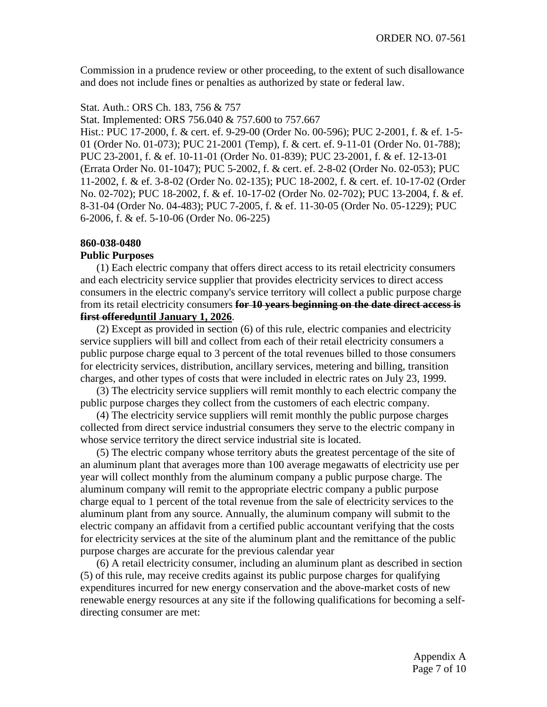Commission in a prudence review or other proceeding, to the extent of such disallowance and does not include fines or penalties as authorized by state or federal law.

#### Stat. Auth.: ORS Ch. 183, 756 & 757

Stat. Implemented: ORS 756.040 & 757.600 to 757.667

Hist.: PUC 17-2000, f. & cert. ef. 9-29-00 (Order No. 00-596); PUC 2-2001, f. & ef. 1-5- 01 (Order No. 01-073); PUC 21-2001 (Temp), f. & cert. ef. 9-11-01 (Order No. 01-788); PUC 23-2001, f. & ef. 10-11-01 (Order No. 01-839); PUC 23-2001, f. & ef. 12-13-01 (Errata Order No. 01-1047); PUC 5-2002, f. & cert. ef. 2-8-02 (Order No. 02-053); PUC 11-2002, f. & ef. 3-8-02 (Order No. 02-135); PUC 18-2002, f. & cert. ef. 10-17-02 (Order No. 02-702); PUC 18-2002, f. & ef. 10-17-02 (Order No. 02-702); PUC 13-2004, f. & ef. 8-31-04 (Order No. 04-483); PUC 7-2005, f. & ef. 11-30-05 (Order No. 05-1229); PUC 6-2006, f. & ef. 5-10-06 (Order No. 06-225)

### **860-038-0480**

### **Public Purposes**

(1) Each electric company that offers direct access to its retail electricity consumers and each electricity service supplier that provides electricity services to direct access consumers in the electric company's service territory will collect a public purpose charge from its retail electricity consumers **for 10 years beginning on the date direct access is first offereduntil January 1, 2026**.

(2) Except as provided in section (6) of this rule, electric companies and electricity service suppliers will bill and collect from each of their retail electricity consumers a public purpose charge equal to 3 percent of the total revenues billed to those consumers for electricity services, distribution, ancillary services, metering and billing, transition charges, and other types of costs that were included in electric rates on July 23, 1999.

(3) The electricity service suppliers will remit monthly to each electric company the public purpose charges they collect from the customers of each electric company.

(4) The electricity service suppliers will remit monthly the public purpose charges collected from direct service industrial consumers they serve to the electric company in whose service territory the direct service industrial site is located.

(5) The electric company whose territory abuts the greatest percentage of the site of an aluminum plant that averages more than 100 average megawatts of electricity use per year will collect monthly from the aluminum company a public purpose charge. The aluminum company will remit to the appropriate electric company a public purpose charge equal to 1 percent of the total revenue from the sale of electricity services to the aluminum plant from any source. Annually, the aluminum company will submit to the electric company an affidavit from a certified public accountant verifying that the costs for electricity services at the site of the aluminum plant and the remittance of the public purpose charges are accurate for the previous calendar year

(6) A retail electricity consumer, including an aluminum plant as described in section (5) of this rule, may receive credits against its public purpose charges for qualifying expenditures incurred for new energy conservation and the above-market costs of new renewable energy resources at any site if the following qualifications for becoming a selfdirecting consumer are met: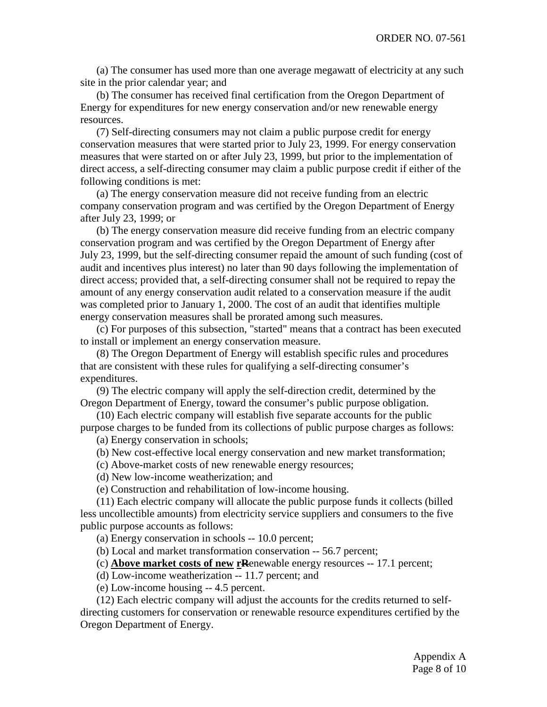(a) The consumer has used more than one average megawatt of electricity at any such site in the prior calendar year; and

(b) The consumer has received final certification from the Oregon Department of Energy for expenditures for new energy conservation and/or new renewable energy resources.

(7) Self-directing consumers may not claim a public purpose credit for energy conservation measures that were started prior to July 23, 1999. For energy conservation measures that were started on or after July 23, 1999, but prior to the implementation of direct access, a self-directing consumer may claim a public purpose credit if either of the following conditions is met:

(a) The energy conservation measure did not receive funding from an electric company conservation program and was certified by the Oregon Department of Energy after July 23, 1999; or

(b) The energy conservation measure did receive funding from an electric company conservation program and was certified by the Oregon Department of Energy after July 23, 1999, but the self-directing consumer repaid the amount of such funding (cost of audit and incentives plus interest) no later than 90 days following the implementation of direct access; provided that, a self-directing consumer shall not be required to repay the amount of any energy conservation audit related to a conservation measure if the audit was completed prior to January 1, 2000. The cost of an audit that identifies multiple energy conservation measures shall be prorated among such measures.

(c) For purposes of this subsection, "started" means that a contract has been executed to install or implement an energy conservation measure.

(8) The Oregon Department of Energy will establish specific rules and procedures that are consistent with these rules for qualifying a self-directing consumer's expenditures.

(9) The electric company will apply the self-direction credit, determined by the Oregon Department of Energy, toward the consumer's public purpose obligation.

(10) Each electric company will establish five separate accounts for the public purpose charges to be funded from its collections of public purpose charges as follows:

(a) Energy conservation in schools;

(b) New cost-effective local energy conservation and new market transformation;

(c) Above-market costs of new renewable energy resources;

(d) New low-income weatherization; and

(e) Construction and rehabilitation of low-income housing.

(11) Each electric company will allocate the public purpose funds it collects (billed less uncollectible amounts) from electricity service suppliers and consumers to the five public purpose accounts as follows:

(a) Energy conservation in schools -- 10.0 percent;

(b) Local and market transformation conservation -- 56.7 percent;

(c) **Above market costs of new rR**enewable energy resources -- 17.1 percent;

(d) Low-income weatherization -- 11.7 percent; and

(e) Low-income housing -- 4.5 percent.

(12) Each electric company will adjust the accounts for the credits returned to selfdirecting customers for conservation or renewable resource expenditures certified by the Oregon Department of Energy.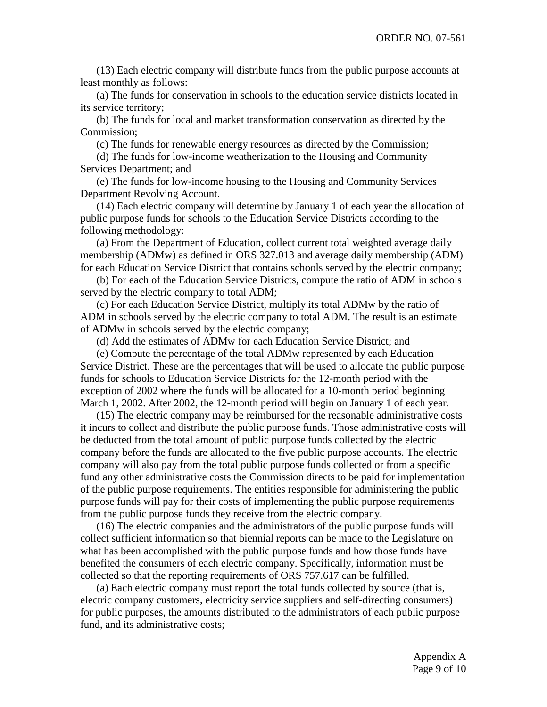(13) Each electric company will distribute funds from the public purpose accounts at least monthly as follows:

(a) The funds for conservation in schools to the education service districts located in its service territory;

(b) The funds for local and market transformation conservation as directed by the Commission;

(c) The funds for renewable energy resources as directed by the Commission;

(d) The funds for low-income weatherization to the Housing and Community Services Department; and

(e) The funds for low-income housing to the Housing and Community Services Department Revolving Account.

(14) Each electric company will determine by January 1 of each year the allocation of public purpose funds for schools to the Education Service Districts according to the following methodology:

(a) From the Department of Education, collect current total weighted average daily membership (ADMw) as defined in ORS 327.013 and average daily membership (ADM) for each Education Service District that contains schools served by the electric company;

(b) For each of the Education Service Districts, compute the ratio of ADM in schools served by the electric company to total ADM;

(c) For each Education Service District, multiply its total ADMw by the ratio of ADM in schools served by the electric company to total ADM. The result is an estimate of ADMw in schools served by the electric company;

(d) Add the estimates of ADMw for each Education Service District; and

(e) Compute the percentage of the total ADMw represented by each Education Service District. These are the percentages that will be used to allocate the public purpose funds for schools to Education Service Districts for the 12-month period with the exception of 2002 where the funds will be allocated for a 10-month period beginning March 1, 2002. After 2002, the 12-month period will begin on January 1 of each year.

(15) The electric company may be reimbursed for the reasonable administrative costs it incurs to collect and distribute the public purpose funds. Those administrative costs will be deducted from the total amount of public purpose funds collected by the electric company before the funds are allocated to the five public purpose accounts. The electric company will also pay from the total public purpose funds collected or from a specific fund any other administrative costs the Commission directs to be paid for implementation of the public purpose requirements. The entities responsible for administering the public purpose funds will pay for their costs of implementing the public purpose requirements from the public purpose funds they receive from the electric company.

(16) The electric companies and the administrators of the public purpose funds will collect sufficient information so that biennial reports can be made to the Legislature on what has been accomplished with the public purpose funds and how those funds have benefited the consumers of each electric company. Specifically, information must be collected so that the reporting requirements of ORS 757.617 can be fulfilled.

(a) Each electric company must report the total funds collected by source (that is, electric company customers, electricity service suppliers and self-directing consumers) for public purposes, the amounts distributed to the administrators of each public purpose fund, and its administrative costs;